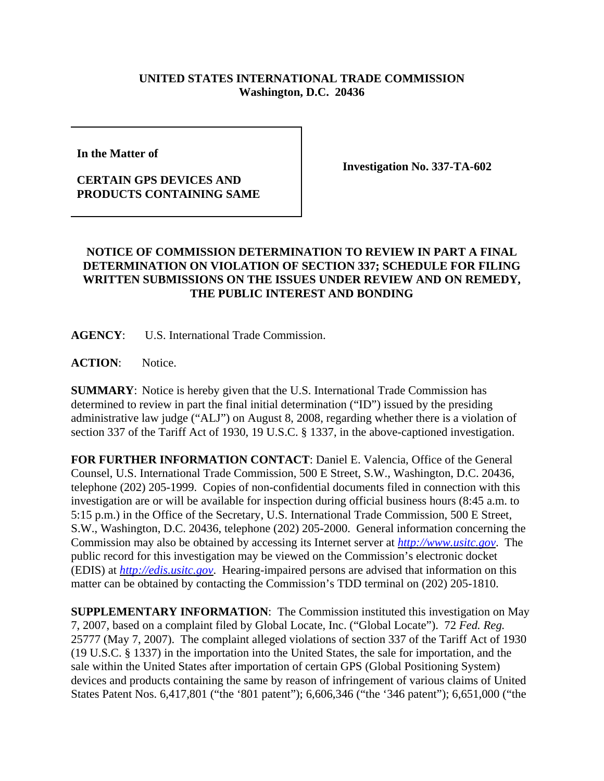## **UNITED STATES INTERNATIONAL TRADE COMMISSION Washington, D.C. 20436**

**In the Matter of** 

## **CERTAIN GPS DEVICES AND PRODUCTS CONTAINING SAME**

**Investigation No. 337-TA-602**

## **NOTICE OF COMMISSION DETERMINATION TO REVIEW IN PART A FINAL DETERMINATION ON VIOLATION OF SECTION 337; SCHEDULE FOR FILING WRITTEN SUBMISSIONS ON THE ISSUES UNDER REVIEW AND ON REMEDY, THE PUBLIC INTEREST AND BONDING**

**AGENCY**: U.S. International Trade Commission.

**ACTION**: Notice.

**SUMMARY**: Notice is hereby given that the U.S. International Trade Commission has determined to review in part the final initial determination ("ID") issued by the presiding administrative law judge ("ALJ") on August 8, 2008, regarding whether there is a violation of section 337 of the Tariff Act of 1930, 19 U.S.C. § 1337, in the above-captioned investigation.

**FOR FURTHER INFORMATION CONTACT**: Daniel E. Valencia, Office of the General Counsel, U.S. International Trade Commission, 500 E Street, S.W., Washington, D.C. 20436, telephone (202) 205-1999. Copies of non-confidential documents filed in connection with this investigation are or will be available for inspection during official business hours (8:45 a.m. to 5:15 p.m.) in the Office of the Secretary, U.S. International Trade Commission, 500 E Street, S.W., Washington, D.C. 20436, telephone (202) 205-2000. General information concerning the Commission may also be obtained by accessing its Internet server at *http://www.usitc.gov*. The public record for this investigation may be viewed on the Commission's electronic docket (EDIS) at *http://edis.usitc.gov*. Hearing-impaired persons are advised that information on this matter can be obtained by contacting the Commission's TDD terminal on (202) 205-1810.

**SUPPLEMENTARY INFORMATION**: The Commission instituted this investigation on May 7, 2007, based on a complaint filed by Global Locate, Inc. ("Global Locate"). 72 *Fed. Reg.* 25777 (May 7, 2007). The complaint alleged violations of section 337 of the Tariff Act of 1930 (19 U.S.C. § 1337) in the importation into the United States, the sale for importation, and the sale within the United States after importation of certain GPS (Global Positioning System) devices and products containing the same by reason of infringement of various claims of United States Patent Nos. 6,417,801 ("the '801 patent"); 6,606,346 ("the '346 patent"); 6,651,000 ("the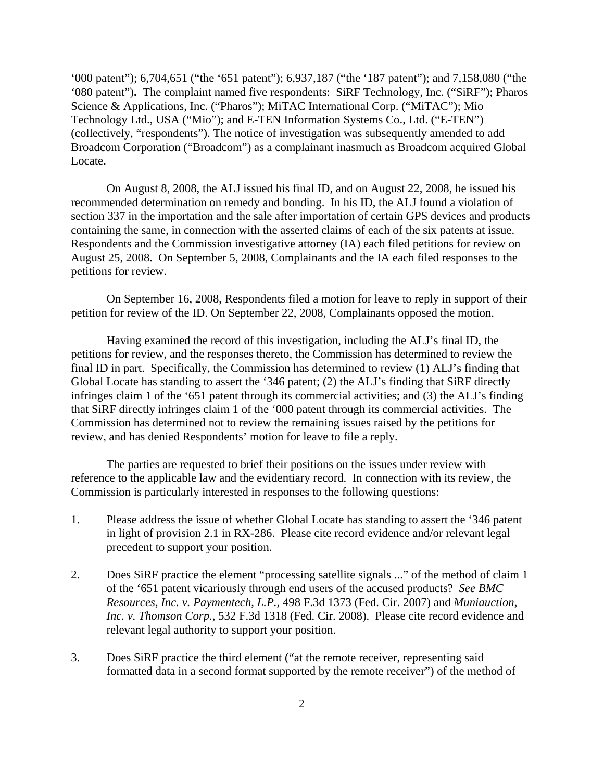'000 patent"); 6,704,651 ("the '651 patent"); 6,937,187 ("the '187 patent"); and 7,158,080 ("the '080 patent")**.** The complaint named five respondents: SiRF Technology, Inc. ("SiRF"); Pharos Science & Applications, Inc. ("Pharos"); MiTAC International Corp. ("MiTAC"); Mio Technology Ltd., USA ("Mio"); and E-TEN Information Systems Co., Ltd. ("E-TEN") (collectively, "respondents"). The notice of investigation was subsequently amended to add Broadcom Corporation ("Broadcom") as a complainant inasmuch as Broadcom acquired Global Locate.

On August 8, 2008, the ALJ issued his final ID, and on August 22, 2008, he issued his recommended determination on remedy and bonding. In his ID, the ALJ found a violation of section 337 in the importation and the sale after importation of certain GPS devices and products containing the same, in connection with the asserted claims of each of the six patents at issue. Respondents and the Commission investigative attorney (IA) each filed petitions for review on August 25, 2008. On September 5, 2008, Complainants and the IA each filed responses to the petitions for review.

On September 16, 2008, Respondents filed a motion for leave to reply in support of their petition for review of the ID. On September 22, 2008, Complainants opposed the motion.

Having examined the record of this investigation, including the ALJ's final ID, the petitions for review, and the responses thereto, the Commission has determined to review the final ID in part. Specifically, the Commission has determined to review (1) ALJ's finding that Global Locate has standing to assert the '346 patent; (2) the ALJ's finding that SiRF directly infringes claim 1 of the '651 patent through its commercial activities; and (3) the ALJ's finding that SiRF directly infringes claim 1 of the '000 patent through its commercial activities. The Commission has determined not to review the remaining issues raised by the petitions for review, and has denied Respondents' motion for leave to file a reply.

The parties are requested to brief their positions on the issues under review with reference to the applicable law and the evidentiary record. In connection with its review, the Commission is particularly interested in responses to the following questions:

- 1. Please address the issue of whether Global Locate has standing to assert the '346 patent in light of provision 2.1 in RX-286. Please cite record evidence and/or relevant legal precedent to support your position.
- 2. Does SiRF practice the element "processing satellite signals ..." of the method of claim 1 of the '651 patent vicariously through end users of the accused products? *See BMC Resources, Inc. v. Paymentech, L.P.,* 498 F.3d 1373 (Fed. Cir. 2007) and *Muniauction, Inc. v. Thomson Corp.*, 532 F.3d 1318 (Fed. Cir. 2008). Please cite record evidence and relevant legal authority to support your position.
- 3. Does SiRF practice the third element ("at the remote receiver, representing said formatted data in a second format supported by the remote receiver") of the method of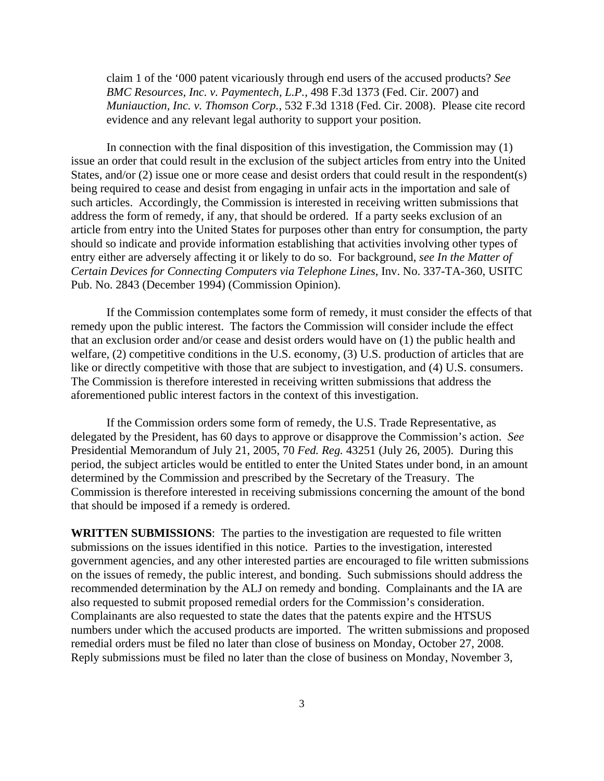claim 1 of the '000 patent vicariously through end users of the accused products? *See BMC Resources, Inc. v. Paymentech, L.P.,* 498 F.3d 1373 (Fed. Cir. 2007) and *Muniauction, Inc. v. Thomson Corp.*, 532 F.3d 1318 (Fed. Cir. 2008). Please cite record evidence and any relevant legal authority to support your position.

In connection with the final disposition of this investigation, the Commission may (1) issue an order that could result in the exclusion of the subject articles from entry into the United States, and/or (2) issue one or more cease and desist orders that could result in the respondent(s) being required to cease and desist from engaging in unfair acts in the importation and sale of such articles. Accordingly, the Commission is interested in receiving written submissions that address the form of remedy, if any, that should be ordered. If a party seeks exclusion of an article from entry into the United States for purposes other than entry for consumption, the party should so indicate and provide information establishing that activities involving other types of entry either are adversely affecting it or likely to do so. For background, *see In the Matter of Certain Devices for Connecting Computers via Telephone Lines*, Inv. No. 337-TA-360, USITC Pub. No. 2843 (December 1994) (Commission Opinion).

If the Commission contemplates some form of remedy, it must consider the effects of that remedy upon the public interest. The factors the Commission will consider include the effect that an exclusion order and/or cease and desist orders would have on (1) the public health and welfare, (2) competitive conditions in the U.S. economy, (3) U.S. production of articles that are like or directly competitive with those that are subject to investigation, and (4) U.S. consumers. The Commission is therefore interested in receiving written submissions that address the aforementioned public interest factors in the context of this investigation.

If the Commission orders some form of remedy, the U.S. Trade Representative, as delegated by the President, has 60 days to approve or disapprove the Commission's action. *See* Presidential Memorandum of July 21, 2005, 70 *Fed. Reg.* 43251 (July 26, 2005). During this period, the subject articles would be entitled to enter the United States under bond, in an amount determined by the Commission and prescribed by the Secretary of the Treasury. The Commission is therefore interested in receiving submissions concerning the amount of the bond that should be imposed if a remedy is ordered.

**WRITTEN SUBMISSIONS**:The parties to the investigation are requested to file written submissions on the issues identified in this notice. Parties to the investigation, interested government agencies, and any other interested parties are encouraged to file written submissions on the issues of remedy, the public interest, and bonding. Such submissions should address the recommended determination by the ALJ on remedy and bonding. Complainants and the IA are also requested to submit proposed remedial orders for the Commission's consideration. Complainants are also requested to state the dates that the patents expire and the HTSUS numbers under which the accused products are imported. The written submissions and proposed remedial orders must be filed no later than close of business on Monday, October 27, 2008. Reply submissions must be filed no later than the close of business on Monday, November 3,